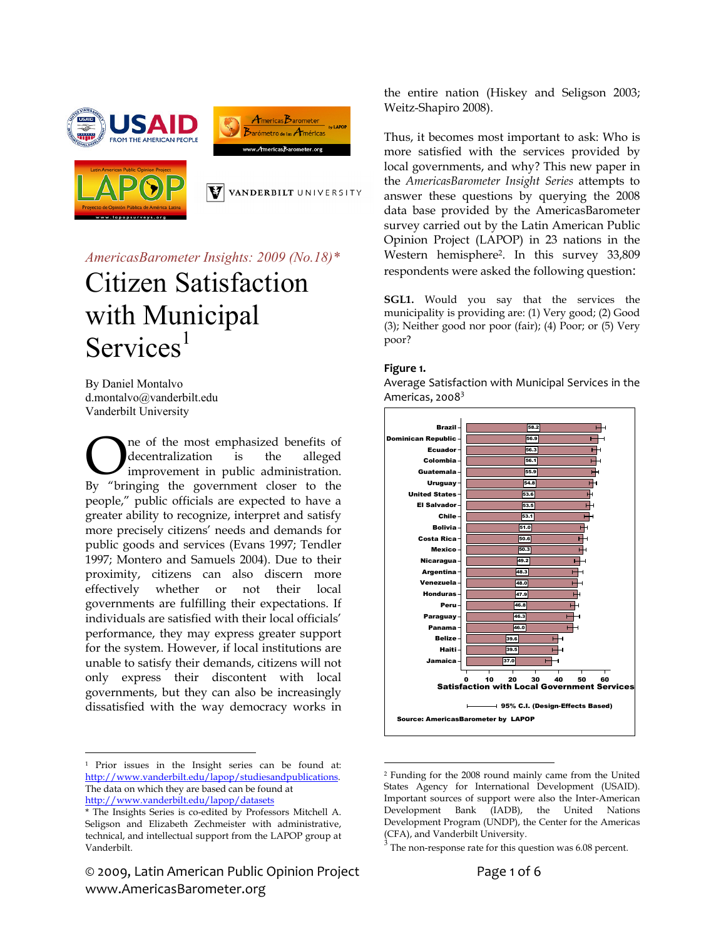



.<br>Iapopsurvevs.

VANDERBILT UNIVERSITY

*AmericasBarometer Insights: 2009 (No.18)\** 

# Citizen Satisfaction with Municipal Services<sup>1</sup>

By Daniel Montalvo d.montalvo@vanderbilt.edu Vanderbilt University

ne of the most emphasized benefits of decentralization is the alleged improvement in public administration. By "bringing the government closer to the Opeople," public officials are expected to have a greater ability to recognize, interpret and satisfy more precisely citizens' needs and demands for public goods and services (Evans 1997; Tendler 1997; Montero and Samuels 2004). Due to their proximity, citizens can also discern more effectively whether or not their local governments are fulfilling their expectations. If individuals are satisfied with their local officials' performance, they may express greater support for the system. However, if local institutions are unable to satisfy their demands, citizens will not only express their discontent with local governments, but they can also be increasingly dissatisfied with the way democracy works in

© 2009, Latin American Public Opinion Project Page 1 of 6 www.AmericasBarometer.org

Thus, it becomes most important to ask: Who is

the entire nation (Hiskey and Seligson 2003;

Weitz-Shapiro 2008).

more satisfied with the services provided by local governments, and why? This new paper in the *AmericasBarometer Insight Series* attempts to answer these questions by querying the 2008 data base provided by the AmericasBarometer survey carried out by the Latin American Public Opinion Project (LAPOP) in 23 nations in the Western hemisphere2. In this survey 33,809 respondents were asked the following question:

**SGL1.** Would you say that the services the municipality is providing are: (1) Very good; (2) Good (3); Neither good nor poor (fair); (4) Poor; or (5) Very poor?

#### **Figure 1.**

Average Satisfaction with Municipal Services in the Americas, 2008<sup>3</sup>



 $\overline{a}$ 2 Funding for the 2008 round mainly came from the United States Agency for International Development (USAID). Important sources of support were also the Inter-American Development Bank (IADB), the United Nations Development Program (UNDP), the Center for the Americas (CFA), and Vanderbilt University.

 $\overline{a}$ 1 Prior issues in the Insight series can be found at: http://www.vanderbilt.edu/lapop/studiesandpublications. The data on which they are based can be found at http://www.vanderbilt.edu/lapop/datasets

<sup>\*</sup> The Insights Series is co-edited by Professors Mitchell A. Seligson and Elizabeth Zechmeister with administrative, technical, and intellectual support from the LAPOP group at Vanderbilt.

 $3^3$  The non-response rate for this question was 6.08 percent.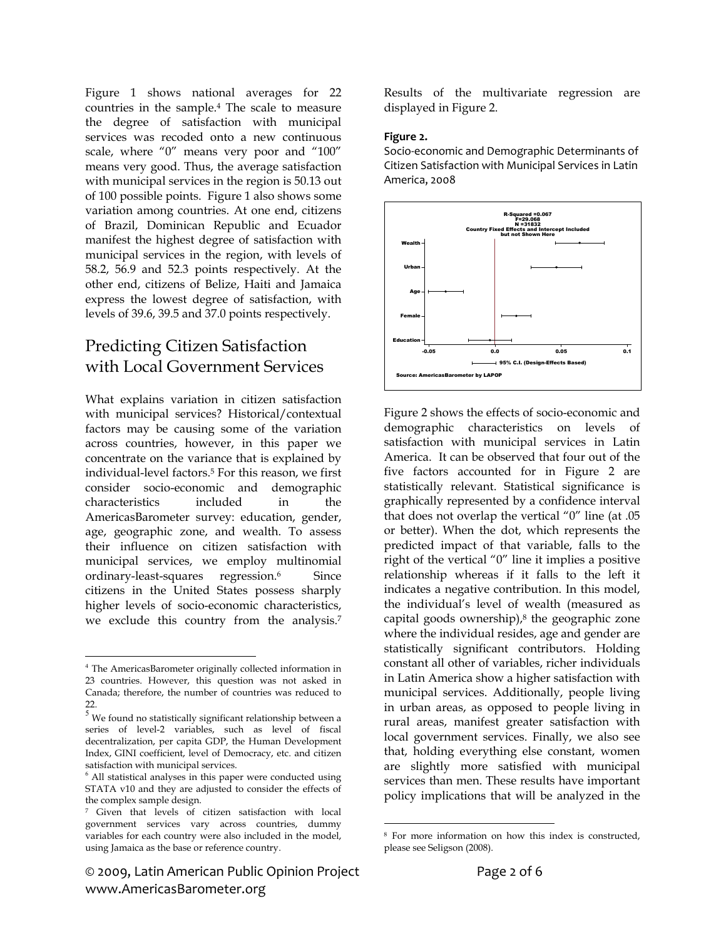Figure 1 shows national averages for 22 countries in the sample.4 The scale to measure the degree of satisfaction with municipal services was recoded onto a new continuous scale, where "0" means very poor and "100" means very good. Thus, the average satisfaction with municipal services in the region is 50.13 out of 100 possible points. Figure 1 also shows some variation among countries. At one end, citizens of Brazil, Dominican Republic and Ecuador manifest the highest degree of satisfaction with municipal services in the region, with levels of 58.2, 56.9 and 52.3 points respectively. At the other end, citizens of Belize, Haiti and Jamaica express the lowest degree of satisfaction, with levels of 39.6, 39.5 and 37.0 points respectively.

## Predicting Citizen Satisfaction with Local Government Services

What explains variation in citizen satisfaction with municipal services? Historical/contextual factors may be causing some of the variation across countries, however, in this paper we concentrate on the variance that is explained by individual-level factors.5 For this reason, we first consider socio-economic and demographic characteristics included in the AmericasBarometer survey: education, gender, age, geographic zone, and wealth. To assess their influence on citizen satisfaction with municipal services, we employ multinomial ordinary-least-squares regression.6 Since citizens in the United States possess sharply higher levels of socio-economic characteristics, we exclude this country from the analysis.7

 $\overline{a}$ 

Results of the multivariate regression are displayed in Figure 2.

#### **Figure 2.**

Socio‐economic and Demographic Determinants of Citizen Satisfaction with Municipal Services in Latin America, 2008



Figure 2 shows the effects of socio-economic and demographic characteristics on levels of satisfaction with municipal services in Latin America. It can be observed that four out of the five factors accounted for in Figure 2 are statistically relevant. Statistical significance is graphically represented by a confidence interval that does not overlap the vertical "0" line (at .05 or better). When the dot, which represents the predicted impact of that variable, falls to the right of the vertical "0" line it implies a positive relationship whereas if it falls to the left it indicates a negative contribution. In this model, the individual's level of wealth (measured as capital goods ownership), $8$  the geographic zone where the individual resides, age and gender are statistically significant contributors. Holding constant all other of variables, richer individuals in Latin America show a higher satisfaction with municipal services. Additionally, people living in urban areas, as opposed to people living in rural areas, manifest greater satisfaction with local government services. Finally, we also see that, holding everything else constant, women are slightly more satisfied with municipal services than men. These results have important policy implications that will be analyzed in the

 $\overline{a}$ 

 $^4$  The AmericasBarometer originally collected information in  $\,$ 23 countries. However, this question was not asked in Canada; therefore, the number of countries was reduced to 22.

 $<sup>5</sup>$  We found no statistically significant relationship between a</sup> series of level-2 variables, such as level of fiscal decentralization, per capita GDP, the Human Development Index, GINI coefficient, level of Democracy, etc. and citizen satisfaction with municipal services.

<sup>&</sup>lt;sup>6</sup> All statistical analyses in this paper were conducted using STATA v10 and they are adjusted to consider the effects of the complex sample design.

<sup>7</sup> Given that levels of citizen satisfaction with local government services vary across countries, dummy variables for each country were also included in the model, using Jamaica as the base or reference country.

<sup>8</sup> For more information on how this index is constructed, please see Seligson (2008).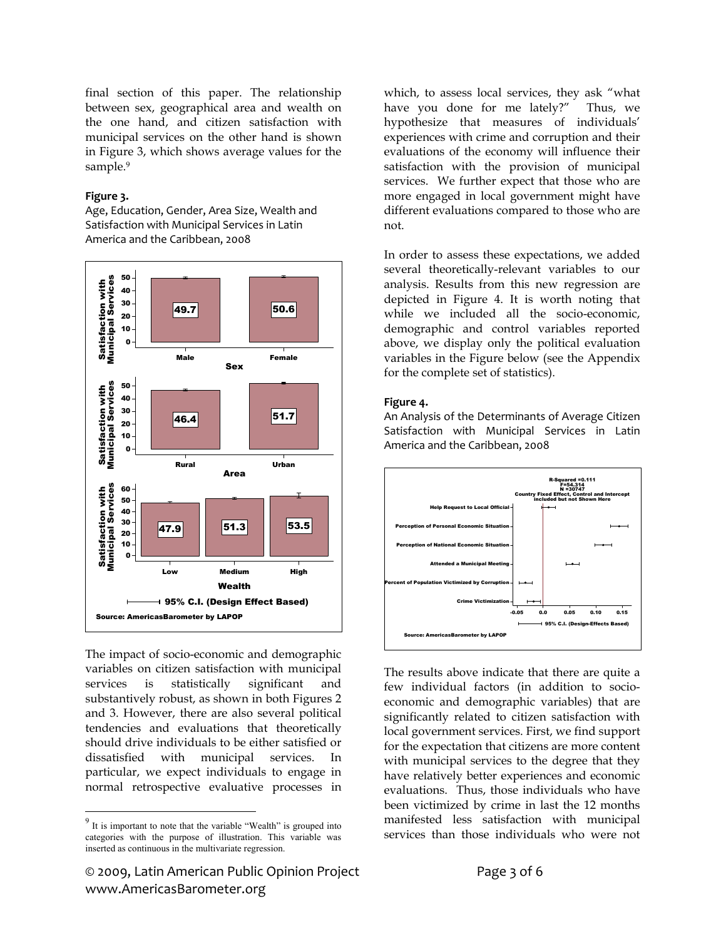final section of this paper. The relationship between sex, geographical area and wealth on the one hand, and citizen satisfaction with municipal services on the other hand is shown in Figure 3, which shows average values for the sample.<sup>9</sup>

#### **Figure 3.**

Age, Education, Gender, Area Size, Wealth and Satisfaction with Municipal Services in Latin America and the Caribbean, 2008



The impact of socio-economic and demographic variables on citizen satisfaction with municipal services is statistically significant and substantively robust, as shown in both Figures 2 and 3. However, there are also several political tendencies and evaluations that theoretically should drive individuals to be either satisfied or dissatisfied with municipal services. In particular, we expect individuals to engage in normal retrospective evaluative processes in

 $\overline{a}$ 

which, to assess local services, they ask "what have you done for me lately?" Thus, we hypothesize that measures of individuals' experiences with crime and corruption and their evaluations of the economy will influence their satisfaction with the provision of municipal services. We further expect that those who are more engaged in local government might have different evaluations compared to those who are not.

In order to assess these expectations, we added several theoretically-relevant variables to our analysis. Results from this new regression are depicted in Figure 4. It is worth noting that while we included all the socio-economic, demographic and control variables reported above, we display only the political evaluation variables in the Figure below (see the Appendix for the complete set of statistics).

#### **Figure 4.**

An Analysis of the Determinants of Average Citizen Satisfaction with Municipal Services in Latin America and the Caribbean, 2008



The results above indicate that there are quite a few individual factors (in addition to socioeconomic and demographic variables) that are significantly related to citizen satisfaction with local government services. First, we find support for the expectation that citizens are more content with municipal services to the degree that they have relatively better experiences and economic evaluations. Thus, those individuals who have been victimized by crime in last the 12 months manifested less satisfaction with municipal services than those individuals who were not

 $9<sup>9</sup>$  It is important to note that the variable "Wealth" is grouped into categories with the purpose of illustration. This variable was inserted as continuous in the multivariate regression.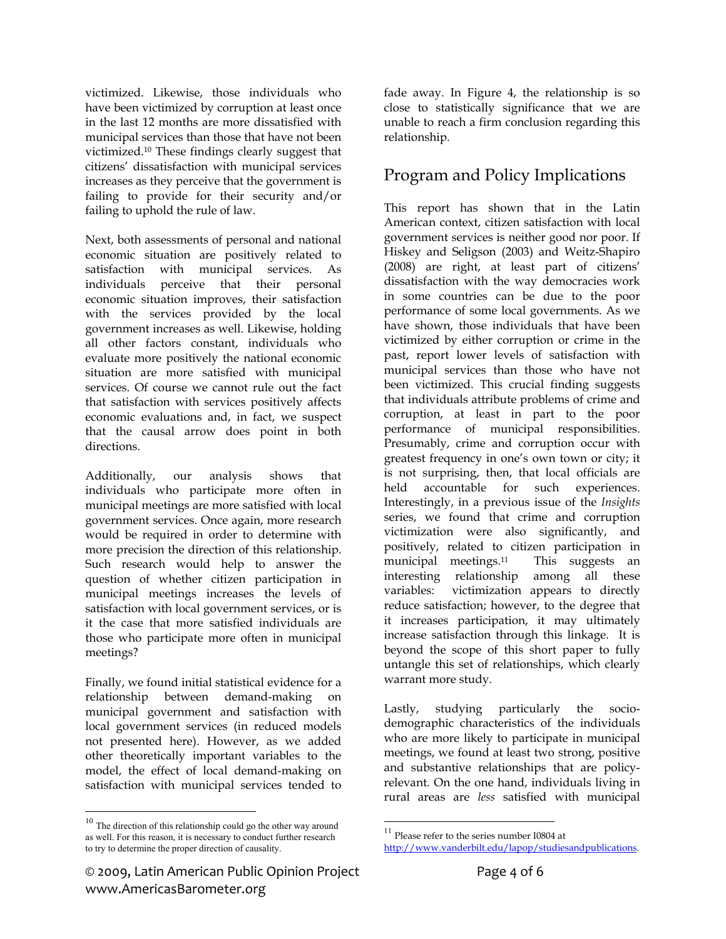victimized. Likewise, those individuals who have been victimized by corruption at least once in the last 12 months are more dissatisfied with municipal services than those that have not been victimized.10 These findings clearly suggest that citizens' dissatisfaction with municipal services increases as they perceive that the government is failing to provide for their security and/or failing to uphold the rule of law.

Next, both assessments of personal and national economic situation are positively related to satisfaction with municipal services. As individuals perceive that their personal economic situation improves, their satisfaction with the services provided by the local government increases as well. Likewise, holding all other factors constant, individuals who evaluate more positively the national economic situation are more satisfied with municipal services. Of course we cannot rule out the fact that satisfaction with services positively affects economic evaluations and, in fact, we suspect that the causal arrow does point in both directions.

Additionally, our analysis shows that individuals who participate more often in municipal meetings are more satisfied with local government services. Once again, more research would be required in order to determine with more precision the direction of this relationship. Such research would help to answer the question of whether citizen participation in municipal meetings increases the levels of satisfaction with local government services, or is it the case that more satisfied individuals are those who participate more often in municipal meetings?

Finally, we found initial statistical evidence for a relationship between demand-making on municipal government and satisfaction with local government services (in reduced models not presented here). However, as we added other theoretically important variables to the model, the effect of local demand-making on satisfaction with municipal services tended to

 $\overline{a}$ 

fade away. In Figure 4, the relationship is so close to statistically significance that we are unable to reach a firm conclusion regarding this relationship.

## Program and Policy Implications

This report has shown that in the Latin American context, citizen satisfaction with local government services is neither good nor poor. If Hiskey and Seligson (2003) and Weitz-Shapiro (2008) are right, at least part of citizens' dissatisfaction with the way democracies work in some countries can be due to the poor performance of some local governments. As we have shown, those individuals that have been victimized by either corruption or crime in the past, report lower levels of satisfaction with municipal services than those who have not been victimized. This crucial finding suggests that individuals attribute problems of crime and corruption, at least in part to the poor performance of municipal responsibilities. Presumably, crime and corruption occur with greatest frequency in one's own town or city; it is not surprising, then, that local officials are held accountable for such experiences. Interestingly, in a previous issue of the *Insights*  series, we found that crime and corruption victimization were also significantly, and positively, related to citizen participation in municipal meetings.11 This suggests an interesting relationship among all these variables: victimization appears to directly reduce satisfaction; however, to the degree that it increases participation, it may ultimately increase satisfaction through this linkage. It is beyond the scope of this short paper to fully untangle this set of relationships, which clearly warrant more study.

Lastly, studying particularly the sociodemographic characteristics of the individuals who are more likely to participate in municipal meetings, we found at least two strong, positive and substantive relationships that are policyrelevant. On the one hand, individuals living in rural areas are *less* satisfied with municipal

 $\overline{a}$ 

<sup>&</sup>lt;sup>10</sup> The direction of this relationship could go the other way around as well. For this reason, it is necessary to conduct further research to try to determine the proper direction of causality.

 $^{11}$  Please refer to the series number I0804 at http://www.vanderbilt.edu/lapop/studiesandpublications.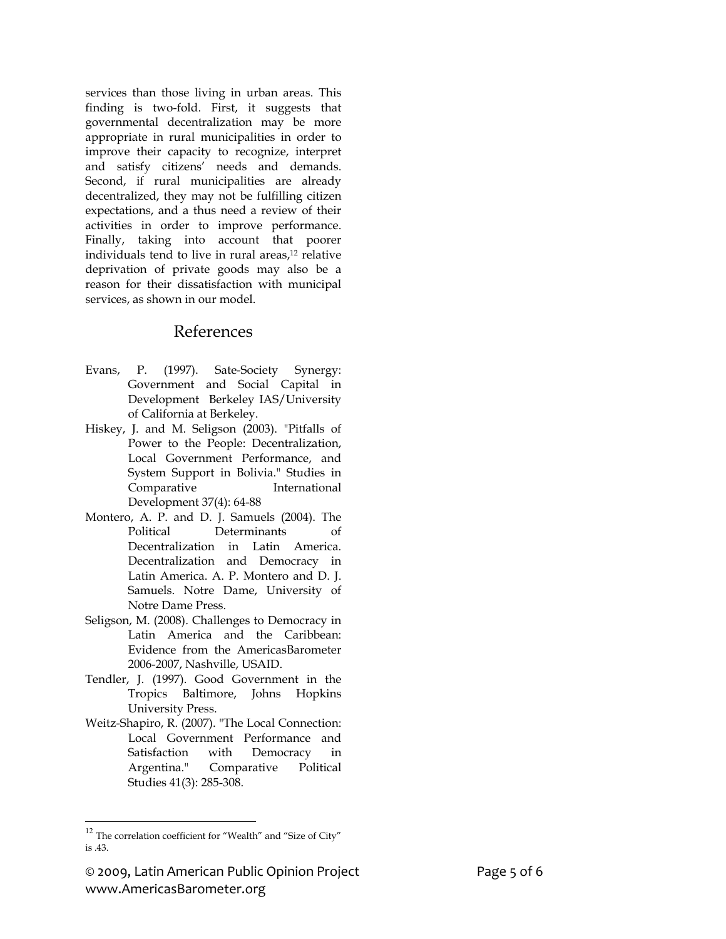services than those living in urban areas. This finding is two-fold. First, it suggests that governmental decentralization may be more appropriate in rural municipalities in order to improve their capacity to recognize, interpret and satisfy citizens' needs and demands. Second, if rural municipalities are already decentralized, they may not be fulfilling citizen expectations, and a thus need a review of their activities in order to improve performance. Finally, taking into account that poorer individuals tend to live in rural areas,<sup>12</sup> relative deprivation of private goods may also be a reason for their dissatisfaction with municipal services, as shown in our model.

### References

- Evans, P. (1997). Sate-Society Synergy: Government and Social Capital in Development Berkeley IAS/University of California at Berkeley.
- Hiskey, J. and M. Seligson (2003). "Pitfalls of Power to the People: Decentralization, Local Government Performance, and System Support in Bolivia." Studies in Comparative International Development 37(4): 64-88
- Montero, A. P. and D. J. Samuels (2004). The Political Determinants of Decentralization in Latin America. Decentralization and Democracy in Latin America. A. P. Montero and D. J. Samuels. Notre Dame, University of Notre Dame Press.
- Seligson, M. (2008). Challenges to Democracy in Latin America and the Caribbean: Evidence from the AmericasBarometer 2006-2007, Nashville, USAID.
- Tendler, J. (1997). Good Government in the Tropics Baltimore, Johns Hopkins University Press.
- Weitz-Shapiro, R. (2007). "The Local Connection: Local Government Performance and Satisfaction with Democracy in Argentina." Comparative Political Studies 41(3): 285-308.

 $\overline{a}$ 

 $^{12}$  The correlation coefficient for "Wealth" and "Size of City"  $\,$ is .43.